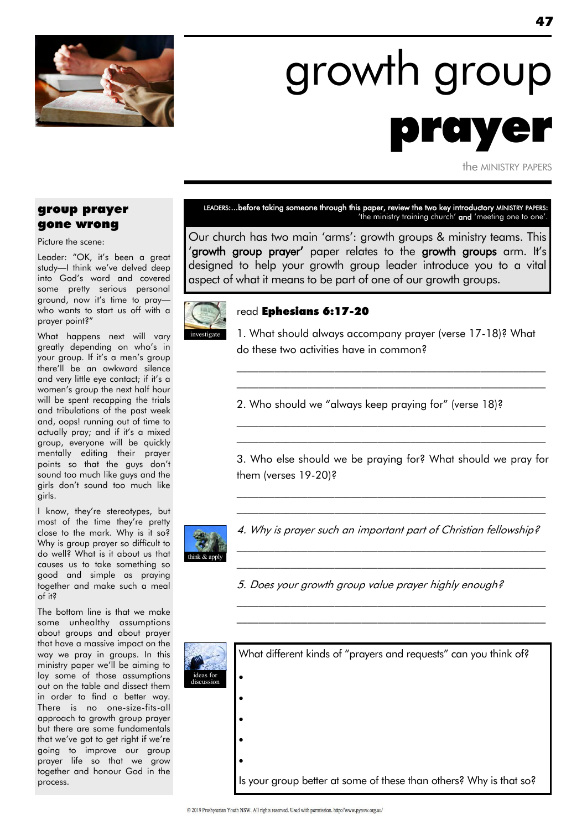

# growth group prayer

the MINISTRY PAPERS

#### group prayer gone wrong

Picture the scene:

Leader: "OK, it's been a great study—I think we"ve delved deep into God"s word and covered some pretty serious personal ground, now it's time to praywho wants to start us off with a prayer point?"

What happens next will vary greatly depending on who"s in your group. If it's a men's group there"ll be an awkward silence and very little eye contact; if it"s a women"s group the next half hour will be spent recapping the trials and tribulations of the past week and, oops! running out of time to actually pray; and if it's a mixed group, everyone will be quickly mentally editing their prayer points so that the guys don"t sound too much like guys and the girls don"t sound too much like girls.

I know, they"re stereotypes, but most of the time they"re pretty close to the mark. Why is it so? Why is group prayer so difficult to do well? What is it about us that causes us to take something so good and simple as praying together and make such a meal of it?

The bottom line is that we make some unhealthy assumptions about groups and about prayer that have a massive impact on the way we pray in groups. In this ministry paper we"ll be aiming to lay some of those assumptions out on the table and dissect them in order to find a better way. There is no one-size-fits-all approach to growth group prayer but there are some fundamentals that we've got to get right if we're going to improve our group prayer life so that we grow together and honour God in the process.

#### LEADERS:...before taking someone through this paper, review the two key introductory MINISTRY PAPERS: 'the ministry training church' **and** 'meeting one to one'.

Our church has two main "arms": growth groups & ministry teams. This "growth group prayer" paper relates to the growth groups arm. It"s designed to help your growth group leader introduce you to a vital aspect of what it means to be part of one of our growth groups.



#### read Ephesians 6:17-20

1. What should always accompany prayer (verse 17-18)? What do these two activities have in common?

 $\mathcal{L}_\text{max}$  and the contract of the contract of the contract of the contract of the contract of the contract of \_\_\_\_\_\_\_\_\_\_\_\_\_\_\_\_\_\_\_\_\_\_\_\_\_\_\_\_\_\_\_\_\_\_\_\_\_\_\_\_\_\_\_\_\_\_\_\_\_\_\_\_\_\_\_\_\_

2. Who should we "always keep praying for" (verse 18)?

3. Who else should we be praying for? What should we pray for them (verses 19-20)?

\_\_\_\_\_\_\_\_\_\_\_\_\_\_\_\_\_\_\_\_\_\_\_\_\_\_\_\_\_\_\_\_\_\_\_\_\_\_\_\_\_\_\_\_\_\_\_\_\_\_\_\_\_\_\_\_\_ \_\_\_\_\_\_\_\_\_\_\_\_\_\_\_\_\_\_\_\_\_\_\_\_\_\_\_\_\_\_\_\_\_\_\_\_\_\_\_\_\_\_\_\_\_\_\_\_\_\_\_\_\_\_\_\_\_

\_\_\_\_\_\_\_\_\_\_\_\_\_\_\_\_\_\_\_\_\_\_\_\_\_\_\_\_\_\_\_\_\_\_\_\_\_\_\_\_\_\_\_\_\_\_\_\_\_\_\_\_\_\_\_\_\_ \_\_\_\_\_\_\_\_\_\_\_\_\_\_\_\_\_\_\_\_\_\_\_\_\_\_\_\_\_\_\_\_\_\_\_\_\_\_\_\_\_\_\_\_\_\_\_\_\_\_\_\_\_\_\_\_\_



4. Why is prayer such an important part of Christian fellowship? \_\_\_\_\_\_\_\_\_\_\_\_\_\_\_\_\_\_\_\_\_\_\_\_\_\_\_\_\_\_\_\_\_\_\_\_\_\_\_\_\_\_\_\_\_\_\_\_\_\_\_\_\_\_\_\_\_

\_\_\_\_\_\_\_\_\_\_\_\_\_\_\_\_\_\_\_\_\_\_\_\_\_\_\_\_\_\_\_\_\_\_\_\_\_\_\_\_\_\_\_\_\_\_\_\_\_\_\_\_\_\_\_\_\_

\_\_\_\_\_\_\_\_\_\_\_\_\_\_\_\_\_\_\_\_\_\_\_\_\_\_\_\_\_\_\_\_\_\_\_\_\_\_\_\_\_\_\_\_\_\_\_\_\_\_\_\_\_\_\_\_\_  $\mathcal{L}_\text{max}$  and the contract of the contract of the contract of the contract of the contract of the contract of

5. Does your growth group value prayer highly enough?

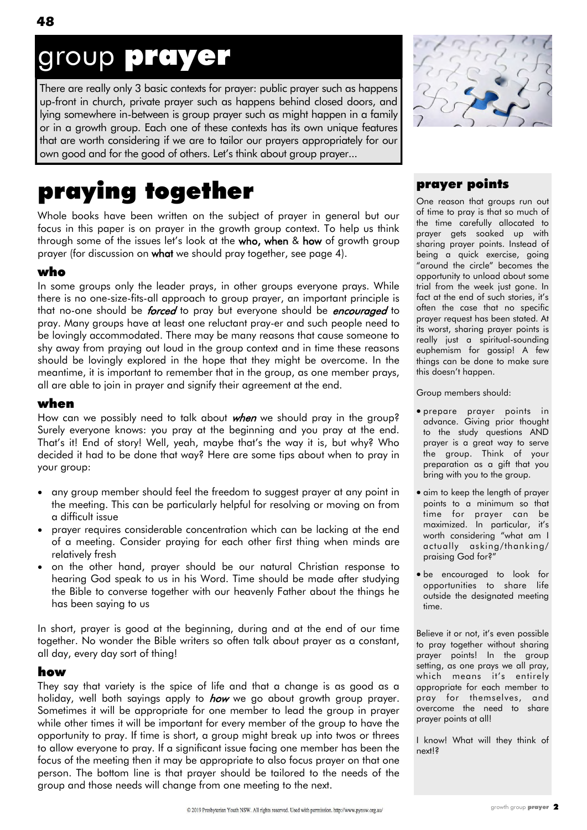# group prayer

There are really only 3 basic contexts for prayer: public prayer such as happens up-front in church, private prayer such as happens behind closed doors, and lying somewhere in-between is group prayer such as might happen in a family or in a growth group. Each one of these contexts has its own unique features that are worth considering if we are to tailor our prayers appropriately for our own good and for the good of others. Let"s think about group prayer...

# praying together

Whole books have been written on the subject of prayer in general but our focus in this paper is on prayer in the growth group context. To help us think through some of the issues let's look at the who, when & how of growth group prayer (for discussion on what we should pray together, see page 4).

#### who

In some groups only the leader prays, in other groups everyone prays. While there is no one-size-fits-all approach to group prayer, an important principle is that no-one should be *forced* to pray but everyone should be *encouraged* to pray. Many groups have at least one reluctant pray-er and such people need to be lovingly accommodated. There may be many reasons that cause someone to shy away from praying out loud in the group context and in time these reasons should be lovingly explored in the hope that they might be overcome. In the meantime, it is important to remember that in the group, as one member prays, all are able to join in prayer and signify their agreement at the end.

#### when

How can we possibly need to talk about *when* we should pray in the group? Surely everyone knows: you pray at the beginning and you pray at the end. That"s it! End of story! Well, yeah, maybe that"s the way it is, but why? Who decided it had to be done that way? Here are some tips about when to pray in your group:

- any group member should feel the freedom to suggest prayer at any point in the meeting. This can be particularly helpful for resolving or moving on from a difficult issue
- prayer requires considerable concentration which can be lacking at the end of a meeting. Consider praying for each other first thing when minds are relatively fresh
- on the other hand, prayer should be our natural Christian response to hearing God speak to us in his Word. Time should be made after studying the Bible to converse together with our heavenly Father about the things he has been saying to us

In short, prayer is good at the beginning, during and at the end of our time together. No wonder the Bible writers so often talk about prayer as a constant, all day, every day sort of thing!

#### how

They say that variety is the spice of life and that a change is as good as a holiday, well both sayings apply to *how* we go about growth group prayer. Sometimes it will be appropriate for one member to lead the group in prayer while other times it will be important for every member of the group to have the opportunity to pray. If time is short, a group might break up into twos or threes to allow everyone to pray. If a significant issue facing one member has been the focus of the meeting then it may be appropriate to also focus prayer on that one person. The bottom line is that prayer should be tailored to the needs of the group and those needs will change from one meeting to the next.

#### prayer points

One reason that groups run out of time to pray is that so much of the time carefully allocated to prayer gets soaked up with sharing prayer points. Instead of being a quick exercise, going "around the circle" becomes the opportunity to unload about some trial from the week just gone. In fact at the end of such stories, it's often the case that no specific prayer request has been stated. At its worst, sharing prayer points is really just a spiritual-sounding euphemism for gossip! A few things can be done to make sure this doesn"t happen.

Group members should:

- prepare prayer points in advance. Giving prior thought to the study questions AND prayer is a great way to serve the group. Think of your preparation as a gift that you bring with you to the group.
- aim to keep the length of prayer points to a minimum so that time for prayer can be maximized. In particular, it"s worth considering "what am I actually asking/thanking/ praising God for?"
- be encouraged to look for opportunities to share life outside the designated meeting time.

Believe it or not, it"s even possible to pray together without sharing prayer points! In the group setting, as one prays we all pray, which means it's entirely appropriate for each member to pray for themselves, and overcome the need to share prayer points at all!

I know! What will they think of next!?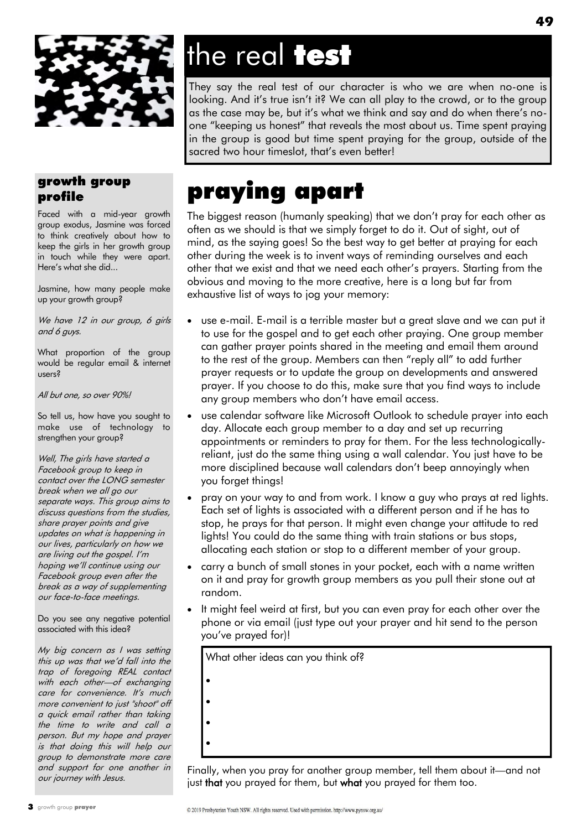

# the real **test**

They say the real test of our character is who we are when no-one is looking. And it's true isn't it? We can all play to the crowd, or to the group as the case may be, but it's what we think and say and do when there's noone "keeping us honest" that reveals the most about us. Time spent praying in the group is good but time spent praying for the group, outside of the sacred two hour timeslot, that"s even better!

## praying apart

The biggest reason (humanly speaking) that we don"t pray for each other as often as we should is that we simply forget to do it. Out of sight, out of mind, as the saying goes! So the best way to get better at praying for each other during the week is to invent ways of reminding ourselves and each other that we exist and that we need each other"s prayers. Starting from the obvious and moving to the more creative, here is a long but far from exhaustive list of ways to jog your memory:

- use e-mail. E-mail is a terrible master but a great slave and we can put it to use for the gospel and to get each other praying. One group member can gather prayer points shared in the meeting and email them around to the rest of the group. Members can then "reply all" to add further prayer requests or to update the group on developments and answered prayer. If you choose to do this, make sure that you find ways to include any group members who don"t have email access.
- use calendar software like Microsoft Outlook to schedule prayer into each day. Allocate each group member to a day and set up recurring appointments or reminders to pray for them. For the less technologicallyreliant, just do the same thing using a wall calendar. You just have to be more disciplined because wall calendars don"t beep annoyingly when you forget things!
- pray on your way to and from work. I know a guy who prays at red lights. Each set of lights is associated with a different person and if he has to stop, he prays for that person. It might even change your attitude to red lights! You could do the same thing with train stations or bus stops, allocating each station or stop to a different member of your group.
- carry a bunch of small stones in your pocket, each with a name written on it and pray for growth group members as you pull their stone out at random.
- It might feel weird at first, but you can even pray for each other over the phone or via email (just type out your prayer and hit send to the person you"ve prayed for)!

What other ideas can you think of?

- $\bullet$
- $\bullet$
- 
- $\bullet$
- $\bullet$
- 

Finally, when you pray for another group member, tell them about it—and not just **that** you prayed for them, but what you prayed for them too.

#### growth group profile

Faced with a mid-year growth group exodus, Jasmine was forced to think creatively about how to keep the girls in her growth group in touch while they were apart. Here"s what she did...

Jasmine, how many people make up your growth group?

We have 12 in our group, 6 girls and 6 guys.

What proportion of the group would be regular email & internet users?

All but one, so over 90%!

So tell us, how have you sought to make use of technology to strengthen your group?

Well, The girls have started a Facebook group to keep in contact over the LONG semester break when we all go our separate ways. This group aims to discuss questions from the studies, share prayer points and give updates on what is happening in our lives, particularly on how we are living out the gospel. I"m hoping we"ll continue using our Facebook group even after the break as a way of supplementing our face-to-face meetings.

Do you see any negative potential associated with this idea?

My big concern as I was setting this up was that we'd fall into the trap of foregoing REAL contact with each other—of exchanging care for convenience. It's much more convenient to just "shoot" off a quick email rather than taking the time to write and call a person. But my hope and prayer is that doing this will help our group to demonstrate more care and support for one another in our journey with Jesus.